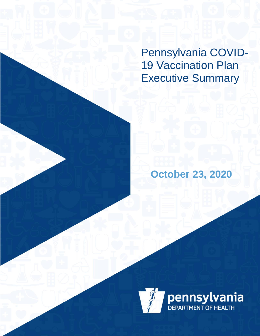Pennsylvania COVID-19 Vaccination Plan Executive Summary

**October 23, 2020**

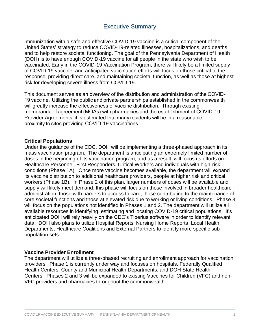# Executive Summary

Immunization with a safe and effective COVID-19 vaccine is a critical component of the United States' strategy to reduce COVID-19-related illnesses, hospitalizations, and deaths and to help restore societal functioning. The goal of the Pennsylvania Department of Health (DOH) is to have enough COVID-19 vaccine for all people in the state who wish to be vaccinated. Early in the COVID-19 Vaccination Program, there will likely be a limited supply of COVID-19 vaccine, and anticipated vaccination efforts will focus on those critical to the response, providing direct care, and maintaining societal function, as well as those at highest risk for developing severe illness from COVID-19.

This document serves as an overview of the distribution and administration of the COVID-19 vaccine.  Utilizing the public and private partnerships established in the commonwealth will greatly increase the effectiveness of vaccine distribution.  Through existing memoranda of agreement (MOAs) with pharmacies and the establishment of COVID-19 Provider Agreements, it is estimated that many residents will be in a reasonable proximity to sites providing COVID-19 vaccinations.  

## **Critical Populations**

Under the guidance of the CDC, DOH will be implementing a three-phased approach in its mass vaccination program. The department is anticipating an extremely limited number of doses in the beginning of its vaccination program, and as a result, will focus its efforts on Healthcare Personnel, First Responders, Critical Workers and individuals with high-risk conditions (Phase 1A). Once more vaccine becomes available, the department will expand its vaccine distribution to additional healthcare providers, people at higher risk and critical workers (Phase 1B). In Phase 2 of this plan, larger numbers of doses will be available and supply will likely meet demand; this phase will focus on those involved in broader healthcare administration, those with barriers to access to care, those contributing to the maintenance of core societal functions and those at elevated risk due to working or living conditions. Phase 3 will focus on the populations not identified in Phases 1 and 2. The department will utilize all available resources in identifying, estimating and locating COVID-19 critical populations. It's anticipated DOH will rely heavily on the CDC's Tiberius software in order to identify relevant data. DOH also plans to utilize Hospital Reports, Nursing Home Reports, Local Health Departments, Healthcare Coalitions and External Partners to identify more specific subpopulation sets.

## **Vaccine Provider Enrollment**

The department will utilize a three-phased recruiting and enrollment approach for vaccination providers. Phase 1 is currently under way and focuses on hospitals, Federally Qualified Health Centers, County and Municipal Health Departments, and DOH State Health Centers. Phases 2 and 3 will be expanded to existing Vaccines for Children (VFC) and non-VFC providers and pharmacies throughout the commonwealth.